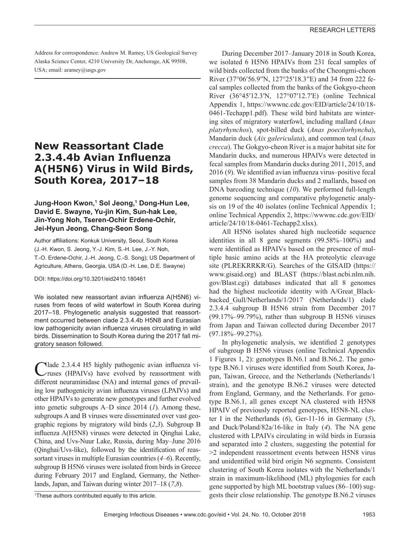Address for correspondence: Andrew M. Ramey, US Geological Survey Alaska Science Center, 4210 University Dr, Anchorage, AK 99508, USA; email: aramey@usgs.gov

# **New Reassortant Clade 2.3.4.4b Avian Influenza A(H5N6) Virus in Wild Birds, South Korea, 2017–18**

### **Jung-Hoon Kwon,1 Sol Jeong,1 Dong-Hun Lee, David E. Swayne, Yu-jin Kim, Sun-hak Lee, Jin-Yong Noh, Tseren-Ochir Erdene-Ochir, Jei-Hyun Jeong, Chang-Seon Song**

Author affiliations: Konkuk University, Seoul, South Korea (J.-H. Kwon, S. Jeong, Y.-J. Kim, S.-H. Lee, J.-Y. Noh, T.-O. Erdene-Ochir, J.-H. Jeong, C.-S. Song); US Department of Agriculture, Athens, Georgia, USA (D.-H. Lee, D.E. Swayne)

DOI: https://doi.org/10.3201/eid2410.180461

We isolated new reassortant avian influenza A(H5N6) viruses from feces of wild waterfowl in South Korea during 2017–18. Phylogenetic analysis suggested that reassortment occurred between clade 2.3.4.4b H5N8 and Eurasian low pathogenicity avian influenza viruses circulating in wild birds. Dissemination to South Korea during the 2017 fall migratory season followed.

Nlade 2.3.4.4 H5 highly pathogenic avian influenza viruses (HPAIVs) have evolved by reassortment with different neuraminidase (NA) and internal genes of prevailing low pathogenicity avian influenza viruses (LPAIVs) and other HPAIVs to generate new genotypes and further evolved into genetic subgroups A–D since 2014 (*1*). Among these, subgroups A and B viruses were disseminated over vast geographic regions by migratory wild birds (*2*,*3*). Subgroup B influenza A(H5N8) viruses were detected in Qinghai Lake, China, and Uvs-Nuur Lake, Russia, during May–June 2016 (Qinghai/Uvs-like), followed by the identification of reassortant viruses in multiple Eurasian countries (*4*–*6*). Recently, subgroup B H5N6 viruses were isolated from birds in Greece during February 2017 and England, Germany, the Netherlands, Japan, and Taiwan during winter 2017–18 (*7*,*8*).

During December 2017–January 2018 in South Korea, we isolated 6 H5N6 HPAIVs from 231 fecal samples of wild birds collected from the banks of the Cheongmi-cheon River (37°06′56.9′′N, 127°25′18.3′′E) and 34 from 222 fecal samples collected from the banks of the Gokgyo-cheon River (36°45′12.3′N, 127°07′12.7′E) (online Technical Appendix 1, https://wwwnc.cdc.gov/EID/article/24/10/18- 0461-Techapp1.pdf). These wild bird habitats are wintering sites of migratory waterfowl, including mallard (*Anas platyrhynchos*), spot-billed duck (*Anas poecilorhyncha*), Mandarin duck (*Aix galericulata*), and common teal (*Anas crecca*). The Gokgyo-cheon River is a major habitat site for Mandarin ducks, and numerous HPAIVs were detected in fecal samples from Mandarin ducks during 2011, 2015, and 2016 (*9*). We identified avian influenza virus–positive fecal samples from 38 Mandarin ducks and 2 mallards, based on DNA barcoding technique (*10*). We performed full-length genome sequencing and comparative phylogenetic analysis on 19 of the 40 isolates (online Technical Appendix 1; online Technical Appendix 2, https://wwwnc.cdc.gov/EID/ article/24/10/18-0461-Techapp2.xlsx).

All H5N6 isolates shared high nucleotide sequence identities in all 8 gene segments (99.58%–100%) and were identified as HPAIVs based on the presence of multiple basic amino acids at the HA proteolytic cleavage site (PLREKRRKR/G). Searches of the GISAID (https:// www.gisaid.org) and BLAST (https://blast.ncbi.nlm.nih. gov/Blast.cgi) databases indicated that all 8 genomes had the highest nucleotide identity with A/Great Blackbacked\_Gull/Netherlands/1/2017 (Netherlands/1) clade 2.3.4.4 subgroup B H5N6 strain from December 2017 (99.17%–99.79%), rather than subgroup B H5N6 viruses from Japan and Taiwan collected during December 2017 (97.18%–99.27%).

In phylogenetic analysis, we identified 2 genotypes of subgroup B H5N6 viruses (online Technical Appendix 1 Figures 1, 2): genotypes B.N6.1 and B.N6.2. The genotype B.N6.1 viruses were identified from South Korea, Japan, Taiwan, Greece, and the Netherlands (Netherlands/1 strain), and the genotype B.N6.2 viruses were detected from England, Germany, and the Netherlands. For genotype B.N6.1, all genes except NA clustered with H5N8 HPAIV of previously reported genotypes, H5N8-NL cluster I in the Netherlands (*6*), Ger-11-16 in Germany (*5*), and Duck/Poland/82a/16-like in Italy (*4*). The NA gene clustered with LPAIVs circulating in wild birds in Eurasia and separated into 2 clusters, suggesting the potential for >2 independent reassortment events between H5N8 virus and unidentified wild bird origin N6 segments. Consistent clustering of South Korea isolates with the Netherlands/1 strain in maximum-likelihood (ML) phylogenies for each gene supported by high ML bootstrap values (86–100) suggests their close relationship. The genotype B.N6.2 viruses

<sup>1</sup> These authors contributed equally to this article.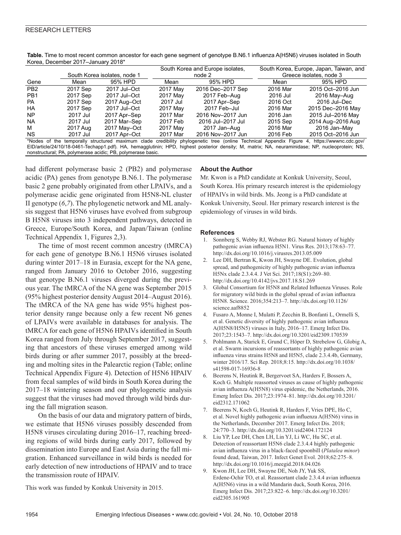| Kulta, Deceniber zu H-Jahuary zu ib                                                                                                              |                              |              |                                  |                   |                                         |                   |
|--------------------------------------------------------------------------------------------------------------------------------------------------|------------------------------|--------------|----------------------------------|-------------------|-----------------------------------------|-------------------|
|                                                                                                                                                  |                              |              | South Korea and Europe isolates, |                   | South Korea, Europe, Japan, Taiwan, and |                   |
|                                                                                                                                                  | South Korea isolates, node 1 |              | node 2                           |                   | Greece isolates, node 3                 |                   |
| Gene                                                                                                                                             | Mean                         | 95% HPD      | Mean                             | 95% HPD           | Mean                                    | 95% HPD           |
| PB <sub>2</sub>                                                                                                                                  | 2017 Sep                     | 2017 Jul-Oct | 2017 May                         | 2016 Dec-2017 Sep | 2016 Mar                                | 2015 Oct-2016 Jun |
| PB <sub>1</sub>                                                                                                                                  | 2017 Sep                     | 2017 Jul-Oct | 2017 May                         | 2017 Feb-Aug      | 2016 Jul                                | 2016 May-Aug      |
| <b>PA</b>                                                                                                                                        | 2017 Sep                     | 2017 Aug-Oct | 2017 Jul                         | 2017 Apr-Sep      | 2016 Oct                                | 2016 Jul-Dec      |
| HA                                                                                                                                               | 2017 Sep                     | 2017 Jul-Oct | 2017 May                         | 2017 Feb-Jul      | 2016 Mar                                | 2015 Dec-2016 May |
| <b>NP</b>                                                                                                                                        | 2017 Jul                     | 2017 Apr-Sep | 2017 Mar                         | 2016 Nov-2017 Jun | 2016 Jan                                | 2015 Jul-2016 May |
| <b>NA</b>                                                                                                                                        | 2017 Jul                     | 2017 Mar-Sep | 2017 Feb                         | 2016 Jul-2017 Jul | 2015 Sep                                | 2014 Aug-2016 Aug |
| м                                                                                                                                                | 2017 Aug                     | 2017 May-Oct | 2017 May                         | 2017 Jan-Aug      | 2016 Mar                                | 2016 Jan-May      |
| <b>NS</b>                                                                                                                                        | 2017 Jul                     | 2017 Apr-Oct | 2017 Mar                         | 2016 Nov-2017 Jun | 2016 Feb                                | 2015 Oct-2016 Jun |
| *Nodes of the temporally structured maximum clade credibility phylogenetic tree (online Technical Appendix Figure 4, https://wwwnc.cdc.gov/      |                              |              |                                  |                   |                                         |                   |
| EID/article/24/10/18-0461-Techapp1.pdf). HA, hemagglutinin; HPD, highest posterior density; M, matrix; NA, neuraminidase; NP, nucleoprotein; NS, |                              |              |                                  |                   |                                         |                   |

**Table.** Time to most recent common ancestor for each gene segment of genotype B.N6.1 influenza A(H5N6) viruses isolated in South Korea, December 2017–January 2018\*

had different polymerase basic 2 (PB2) and polymerase acidic (PA) genes from genotype B.N6.1. The polymerase basic 2 gene probably originated from other LPAIVs, and a polymerase acidic gene originated from H5N8-NL cluster II genotype (*6*,*7*). The phylogenetic network and ML analysis suggest that H5N6 viruses have evolved from subgroup B H5N8 viruses into 3 independent pathways, detected in

Technical Appendix 1, Figures 2,3). The time of most recent common ancestry (tMRCA) for each gene of genotype B.N6.1 H5N6 viruses isolated during winter 2017–18 in Eurasia, except for the NA gene, ranged from January 2016 to October 2016, suggesting that genotype B.N6.1 viruses diverged during the previous year. The tMRCA of the NA gene was September 2015 (95% highest posterior density August 2014–August 2016). The tMRCA of the NA gene has wide 95% highest posterior density range because only a few recent N6 genes of LPAIVs were available in databases for analysis. The tMRCA for each gene of H5N6 HPAIVs identified in South Korea ranged from July through September 2017, suggesting that ancestors of these viruses emerged among wild birds during or after summer 2017, possibly at the breeding and molting sites in the Palearctic region (Table; online Technical Appendix Figure 4). Detection of H5N6 HPAIV from fecal samples of wild birds in South Korea during the 2017–18 wintering season and our phylogenetic analysis suggest that the viruses had moved through wild birds during the fall migration season.

Greece, Europe/South Korea, and Japan/Taiwan (online

nonstructural; PA, polymerase acidic; PB, polymerase basic.

On the basis of our data and migratory pattern of birds, we estimate that H5N6 viruses possibly descended from H5N8 viruses circulating during 2016–17, reaching breeding regions of wild birds during early 2017, followed by dissemination into Europe and East Asia during the fall migration. Enhanced surveillance in wild birds is needed for early detection of new introductions of HPAIV and to trace the transmission route of HPAIV.

This work was funded by Konkuk University in 2015.

#### **About the Author**

Mr. Kwon is a PhD candidate at Konkuk University, Seoul, South Korea. His primary research interest is the epidemiology of HPAIVs in wild birds. Ms. Jeong is a PhD candidate at Konkuk University, Seoul. Her primary research interest is the epidemiology of viruses in wild birds.

#### **References**

- 1. Sonnberg S, Webby RJ, Webster RG. Natural history of highly pathogenic avian influenza H5N1. Virus Res. 2013;178:63–77. http://dx.doi.org/10.1016/j.virusres.2013.05.009
- 2. Lee DH, Bertran K, Kwon JH, Swayne DE. Evolution, global spread, and pathogenicity of highly pathogenic avian influenza H5Nx clade 2.3.4.4. J Vet Sci. 2017;18(S1):269–80. http://dx.doi.org/10.4142/jvs.2017.18.S1.269
- 3. Global Consortium for H5N8 and Related Influenza Viruses. Role for migratory wild birds in the global spread of avian influenza H5N8. Science. 2016;354:213–7. http://dx.doi.org/10.1126/ science.aaf8852
- 4. Fusaro A, Monne I, Mulatti P, Zecchin B, Bonfanti L, Ormelli S, et al. Genetic diversity of highly pathogenic avian influenza A(H5N8/H5N5) viruses in Italy, 2016–17. Emerg Infect Dis. 2017;23:1543–7. http://dx.doi.org/10.3201/eid2309.170539
- 5. Pohlmann A, Starick E, Grund C, Höper D, Strebelow G, Globig A, et al. Swarm incursions of reassortants of highly pathogenic avian influenza virus strains H5N8 and H5N5, clade 2.3.4.4b, Germany, winter 2016/17. Sci Rep. 2018;8:15. http://dx.doi.org/10.1038/ s41598-017-16936-8
- 6. Beerens N, Heutink R, Bergervoet SA, Harders F, Bossers A, Koch G. Multiple reassorted viruses as cause of highly pathogenic avian influenza A(H5N8) virus epidemic, the Netherlands, 2016. Emerg Infect Dis. 2017;23:1974–81. http://dx.doi.org/10.3201/ eid2312.171062
- Beerens N, Koch G, Heutink R, Harders F, Vries DPE, Ho C, et al. Novel highly pathogenic avian influenza A(H5N6) virus in the Netherlands, December 2017. Emerg Infect Dis. 2018; 24:770–3. http://dx.doi.org/10.3201/eid2404.172124
- 8. Liu YP, Lee DH, Chen LH, Lin YJ, Li WC, Hu SC, et al. Detection of reassortant H5N6 clade 2.3.4.4 highly pathogenic avian influenza virus in a black-faced spoonbill (*Platalea minor*) found dead, Taiwan, 2017. Infect Genet Evol. 2018;62:275–8. http://dx.doi.org/10.1016/j.meegid.2018.04.026
- 9. Kwon JH, Lee DH, Swayne DE, Noh JY, Yuk SS, Erdene-Ochir TO, et al. Reassortant clade 2.3.4.4 avian influenza A(H5N6) virus in a wild Mandarin duck, South Korea, 2016. Emerg Infect Dis. 2017;23:822–6. http://dx.doi.org/10.3201/ eid2305.161905